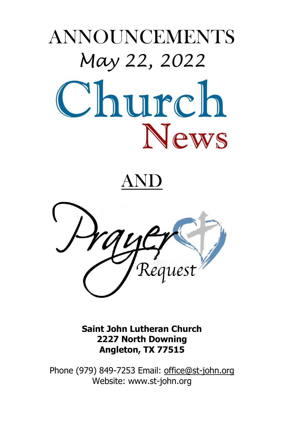# ANNOUNCEMENTS *May 22, 2022* Church **News**

# $\bf ND$



**Saint John Lutheran Church 2227 North Downing Angleton, TX 77515**

Phone (979) 849-7253 Email: [office@st-john.org](mailto:office@st-john.org) Website: www.st-john.org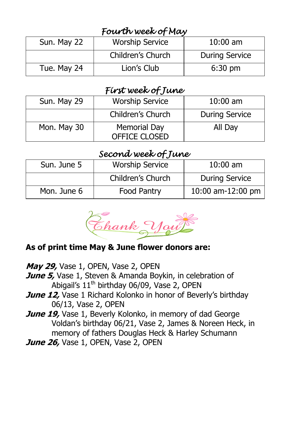# *Fourth week of May*

| Sun. May 22 | <b>Worship Service</b> | $10:00$ am            |
|-------------|------------------------|-----------------------|
|             | Children's Church      | <b>During Service</b> |
| Tue. May 24 | Lion's Club            | $6:30$ pm             |

# *First week of June*

| Sun. May 29 | <b>Worship Service</b>               | $10:00$ am            |
|-------------|--------------------------------------|-----------------------|
|             | Children's Church                    | <b>During Service</b> |
| Mon. May 30 | Memorial Day<br><b>OFFICE CLOSED</b> | All Day               |

# *Second week of June*

| Sun. June 5 | <b>Worship Service</b> | $10:00$ am            |
|-------------|------------------------|-----------------------|
|             | Children's Church      | <b>During Service</b> |
| Mon. June 6 | Food Pantry            | 10:00 am-12:00 pm     |

Ehank Your

#### **As of print time May & June flower donors are:**

- **May 29,** Vase 1, OPEN, Vase 2, OPEN
- **June 5,** Vase 1, Steven & Amanda Boykin, in celebration of Abigail's  $11<sup>th</sup>$  birthday 06/09, Vase 2, OPEN
- **June 12,** Vase 1 Richard Kolonko in honor of Beverly's birthdav 06/13, Vase 2, OPEN
- **June 19,** Vase 1, Beverly Kolonko, in memory of dad George Voldan's birthday 06/21, Vase 2, James & Noreen Heck, in memory of fathers Douglas Heck & Harley Schumann
- **June 26, Vase 1, OPEN, Vase 2, OPEN**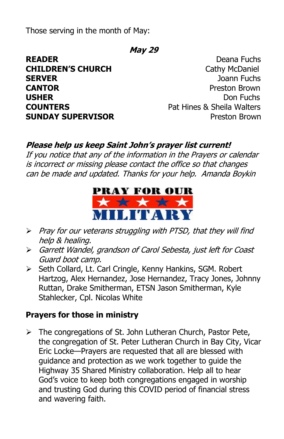Those serving in the month of May:

#### **May 29**

**READER** Deana Fuchs **CHILDREN'S CHURCH** Cathy McDaniel **SERVER** Joann Fuchs **CANTOR** Preston Brown **USHER** Don Fuchs **COUNTERS** Pat Hines & Sheila Walters **SUNDAY SUPERVISOR Preston Brown** 

#### **Please help us keep Saint John's prayer list current!**

If you notice that any of the information in the Prayers or calendar is incorrect or missing please contact the office so that changes can be made and updated. Thanks for your help. Amanda Boykin



- $\triangleright$  Pray for our veterans struggling with PTSD, that they will find help & healing.
- Garrett Wandel, grandson of Carol Sebesta, just left for Coast Guard boot camp.
- Seth Collard, Lt. Carl Cringle, Kenny Hankins, SGM. Robert Hartzog, Alex Hernandez, Jose Hernandez, Tracy Jones, Johnny Ruttan, Drake Smitherman, ETSN Jason Smitherman, Kyle Stahlecker, Cpl. Nicolas White

#### **Prayers for those in ministry**

 $\triangleright$  The congregations of St. John Lutheran Church, Pastor Pete, the congregation of St. Peter Lutheran Church in Bay City, Vicar Eric Locke—Prayers are requested that all are blessed with guidance and protection as we work together to guide the Highway 35 Shared Ministry collaboration. Help all to hear God's voice to keep both congregations engaged in worship and trusting God during this COVID period of financial stress and wavering faith.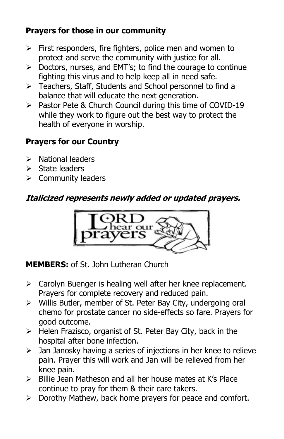### **Prayers for those in our community**

- $\triangleright$  First responders, fire fighters, police men and women to protect and serve the community with justice for all.
- $\triangleright$  Doctors, nurses, and EMT's; to find the courage to continue fighting this virus and to help keep all in need safe.
- > Teachers, Staff, Students and School personnel to find a balance that will educate the next generation.
- $\triangleright$  Pastor Pete & Church Council during this time of COVID-19 while they work to figure out the best way to protect the health of everyone in worship.

# **Prayers for our Country**

- $\triangleright$  National leaders
- $\triangleright$  State leaders
- $\triangleright$  Community leaders

# **Italicized represents newly added or updated prayers.**



**MEMBERS:** of St. John Lutheran Church

- $\triangleright$  Carolyn Buenger is healing well after her knee replacement. Prayers for complete recovery and reduced pain.
- $\triangleright$  Willis Butler, member of St. Peter Bay City, undergoing oral chemo for prostate cancer no side-effects so fare. Prayers for good outcome.
- $\triangleright$  Helen Frazisco, organist of St. Peter Bay City, back in the hospital after bone infection.
- $\triangleright$  Jan Janosky having a series of injections in her knee to relieve pain. Prayer this will work and Jan will be relieved from her knee pain.
- $\triangleright$  Billie Jean Matheson and all her house mates at K's Place continue to pray for them & their care takers.
- $\triangleright$  Dorothy Mathew, back home prayers for peace and comfort.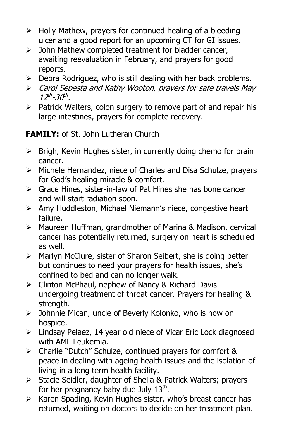- $\triangleright$  Holly Mathew, prayers for continued healing of a bleeding ulcer and a good report for an upcoming CT for GI issues.
- $\triangleright$  John Mathew completed treatment for bladder cancer, awaiting reevaluation in February, and prayers for good reports.
- $\triangleright$  Debra Rodriguez, who is still dealing with her back problems.
- Carol Sebesta and Kathy Wooton, prayers for safe travels May 12<sup>th</sup>-30<sup>th</sup>.
- $\triangleright$  Patrick Walters, colon surgery to remove part of and repair his large intestines, prayers for complete recovery.

## **FAMILY:** of St. John Lutheran Church

- $\triangleright$  Brigh, Kevin Hughes sister, in currently doing chemo for brain cancer.
- $\triangleright$  Michele Hernandez, niece of Charles and Disa Schulze, prayers for God's healing miracle & comfort.
- $\triangleright$  Grace Hines, sister-in-law of Pat Hines she has bone cancer and will start radiation soon.
- Amy Huddleston, Michael Niemann's niece, congestive heart failure.
- Maureen Huffman, grandmother of Marina & Madison, cervical cancer has potentially returned, surgery on heart is scheduled as well.
- > Marlyn McClure, sister of Sharon Seibert, she is doing better but continues to need your prayers for health issues, she's confined to bed and can no longer walk.
- $\triangleright$  Clinton McPhaul, nephew of Nancy & Richard Davis undergoing treatment of throat cancer. Prayers for healing & strength.
- > Johnnie Mican, uncle of Beverly Kolonko, who is now on hospice.
- Lindsay Pelaez, 14 year old niece of Vicar Eric Lock diagnosed with AML Leukemia.
- Charlie "Dutch" Schulze, continued prayers for comfort & peace in dealing with ageing health issues and the isolation of living in a long term health facility.
- $\triangleright$  Stacie Seidler, daughter of Sheila & Patrick Walters; pravers for her pregnancy baby due July  $13^{\text{th}}$ .
- $\triangleright$  Karen Spading, Kevin Hughes sister, who's breast cancer has returned, waiting on doctors to decide on her treatment plan.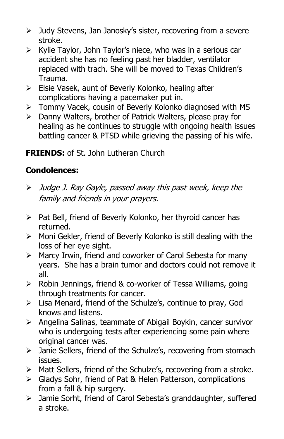- $\triangleright$  Judy Stevens, Jan Janosky's sister, recovering from a severe stroke.
- $\triangleright$  Kylie Taylor, John Taylor's niece, who was in a serious car accident she has no feeling past her bladder, ventilator replaced with trach. She will be moved to Texas Children's Trauma.
- $\triangleright$  Elsie Vasek, aunt of Beverly Kolonko, healing after complications having a pacemaker put in.
- Tommy Vacek, cousin of Beverly Kolonko diagnosed with MS
- $\triangleright$  Danny Walters, brother of Patrick Walters, please pray for healing as he continues to struggle with ongoing health issues battling cancer & PTSD while grieving the passing of his wife.

#### **FRIENDS:** of St. John Lutheran Church

#### **Condolences:**

- Judge J. Ray Gayle, passed away this past week, keep the family and friends in your prayers.
- $\triangleright$  Pat Bell, friend of Beverly Kolonko, her thyroid cancer has returned.
- $\triangleright$  Moni Gekler, friend of Beverly Kolonko is still dealing with the loss of her eye sight.
- > Marcy Irwin, friend and coworker of Carol Sebesta for many years. She has a brain tumor and doctors could not remove it all.
- $\triangleright$  Robin Jennings, friend & co-worker of Tessa Williams, going through treatments for cancer.
- Lisa Menard, friend of the Schulze's, continue to pray, God knows and listens.
- $\triangleright$  Angelina Salinas, teammate of Abigail Boykin, cancer survivor who is undergoing tests after experiencing some pain where original cancer was.
- $\triangleright$  Janie Sellers, friend of the Schulze's, recovering from stomach issues.
- > Matt Sellers, friend of the Schulze's, recovering from a stroke.
- Gladys Sohr, friend of Pat & Helen Patterson, complications from a fall & hip surgery.
- Jamie Sorht, friend of Carol Sebesta's granddaughter, suffered a stroke.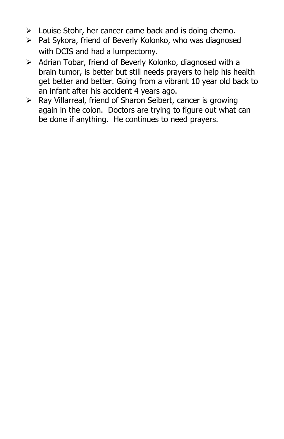- $\triangleright$  Louise Stohr, her cancer came back and is doing chemo.
- $\triangleright$  Pat Sykora, friend of Beverly Kolonko, who was diagnosed with DCIS and had a lumpectomy.
- $\triangleright$  Adrian Tobar, friend of Beverly Kolonko, diagnosed with a brain tumor, is better but still needs prayers to help his health get better and better. Going from a vibrant 10 year old back to an infant after his accident 4 years ago.
- Ray Villarreal, friend of Sharon Seibert, cancer is growing again in the colon. Doctors are trying to figure out what can be done if anything. He continues to need prayers.